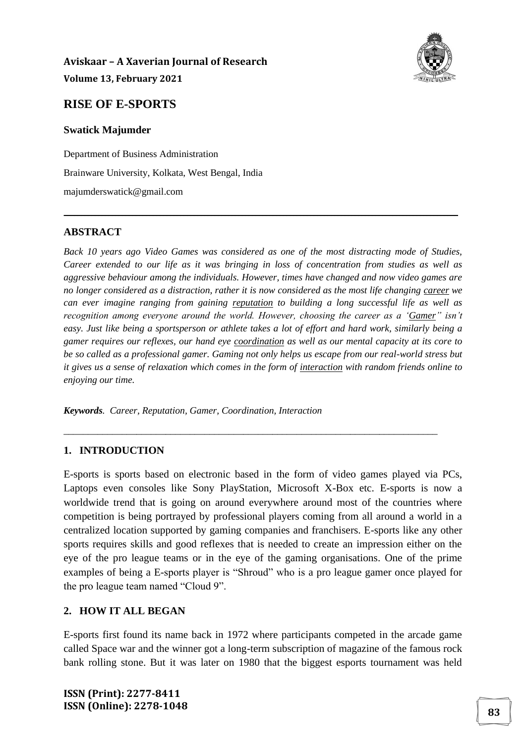

## **RISE OF E-SPORTS**

#### **Swatick Majumder**

Department of Business Administration Brainware University, Kolkata, West Bengal, India majumderswatick@gmail.com

#### **ABSTRACT**

*Back 10 years ago Video Games was considered as one of the most distracting mode of Studies, Career extended to our life as it was bringing in loss of concentration from studies as well as aggressive behaviour among the individuals. However, times have changed and now video games are no longer considered as a distraction, rather it is now considered as the most life changing career we can ever imagine ranging from gaining reputation to building a long successful life as well as recognition among everyone around the world. However, choosing the career as a 'Gamer" isn't easy. Just like being a sportsperson or athlete takes a lot of effort and hard work, similarly being a gamer requires our reflexes, our hand eye coordination as well as our mental capacity at its core to be so called as a professional gamer. Gaming not only helps us escape from our real-world stress but it gives us a sense of relaxation which comes in the form of interaction with random friends online to enjoying our time.*

\_\_\_\_\_\_\_\_\_\_\_\_\_\_\_\_\_\_\_\_\_\_\_\_\_\_\_\_\_\_\_\_\_\_\_\_\_\_\_\_\_\_\_\_\_\_\_\_\_\_\_\_\_\_\_\_\_\_\_\_\_\_\_\_\_\_\_\_\_\_\_\_\_\_\_\_\_\_\_\_\_\_\_\_\_\_\_\_\_\_\_\_\_\_\_\_\_\_\_\_\_\_\_\_\_\_\_\_\_\_\_\_\_\_\_

*Keywords. Career, Reputation, Gamer, Coordination, Interaction*

#### **1. INTRODUCTION**

E-sports is sports based on electronic based in the form of video games played via PCs, Laptops even consoles like Sony PlayStation, Microsoft X-Box etc. E-sports is now a worldwide trend that is going on around everywhere around most of the countries where competition is being portrayed by professional players coming from all around a world in a centralized location supported by gaming companies and franchisers. E-sports like any other sports requires skills and good reflexes that is needed to create an impression either on the eye of the pro league teams or in the eye of the gaming organisations. One of the prime examples of being a E-sports player is "Shroud" who is a pro league gamer once played for the pro league team named "Cloud 9".

*\_\_\_\_\_\_\_\_\_\_\_\_\_\_\_\_\_\_\_\_\_\_\_\_\_\_\_\_\_\_\_\_\_\_\_\_\_\_\_\_\_\_\_\_\_\_\_\_\_\_\_\_\_\_\_\_\_\_\_\_\_\_\_\_\_\_\_\_\_\_\_\_\_\_\_\_\_*

#### **2. HOW IT ALL BEGAN**

E-sports first found its name back in 1972 where participants competed in the arcade game called Space war and the winner got a long-term subscription of magazine of the famous rock bank rolling stone. But it was later on 1980 that the biggest esports tournament was held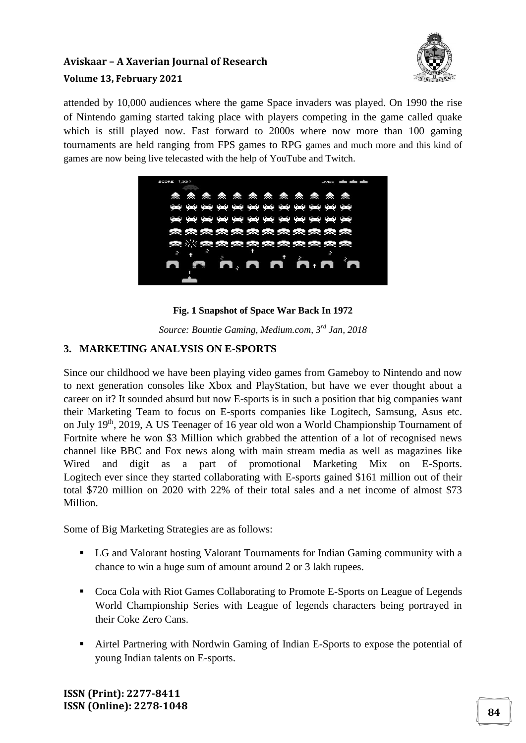

attended by 10,000 audiences where the game Space invaders was played. On 1990 the rise of Nintendo gaming started taking place with players competing in the game called quake which is still played now. Fast forward to 2000s where now more than 100 gaming tournaments are held ranging from FPS games to RPG games and much more and this kind of games are now being live telecasted with the help of YouTube and Twitch.



## **Fig. 1 Snapshot of Space War Back In 1972**

*Source: Bountie Gaming, Medium.com, 3rd Jan, 2018*

## **3. MARKETING ANALYSIS ON E-SPORTS**

Since our childhood we have been playing video games from Gameboy to Nintendo and now to next generation consoles like Xbox and PlayStation, but have we ever thought about a career on it? It sounded absurd but now E-sports is in such a position that big companies want their Marketing Team to focus on E-sports companies like Logitech, Samsung, Asus etc. on July 19th, 2019, A US Teenager of 16 year old won a World Championship Tournament of Fortnite where he won \$3 Million which grabbed the attention of a lot of recognised news channel like BBC and Fox news along with main stream media as well as magazines like Wired and digit as a part of promotional Marketing Mix on E-Sports. Logitech ever since they started collaborating with E-sports gained \$161 million out of their total \$720 million on 2020 with 22% of their total sales and a net income of almost \$73 Million.

Some of Big Marketing Strategies are as follows:

- LG and Valorant hosting Valorant Tournaments for Indian Gaming community with a chance to win a huge sum of amount around 2 or 3 lakh rupees.
- Coca Cola with Riot Games Collaborating to Promote E-Sports on League of Legends World Championship Series with League of legends characters being portrayed in their Coke Zero Cans.
- Airtel Partnering with Nordwin Gaming of Indian E-Sports to expose the potential of young Indian talents on E-sports.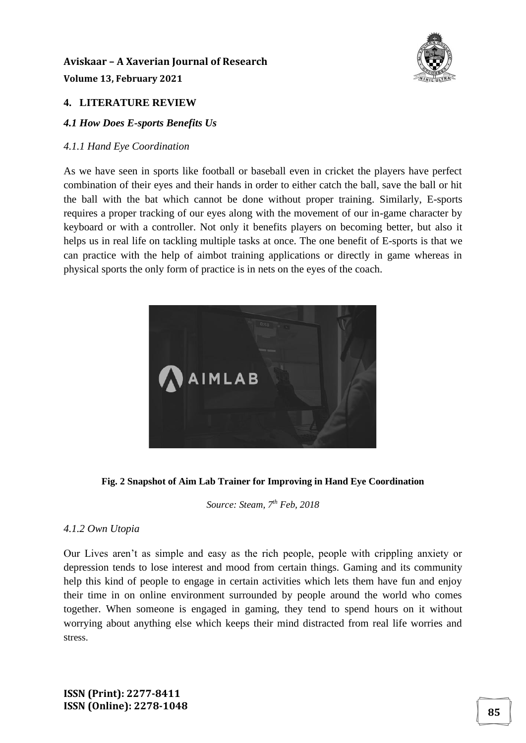

## **4. LITERATURE REVIEW**

#### *4.1 How Does E-sports Benefits Us*

#### *4.1.1 Hand Eye Coordination*

As we have seen in sports like football or baseball even in cricket the players have perfect combination of their eyes and their hands in order to either catch the ball, save the ball or hit the ball with the bat which cannot be done without proper training. Similarly, E-sports requires a proper tracking of our eyes along with the movement of our in-game character by keyboard or with a controller. Not only it benefits players on becoming better, but also it helps us in real life on tackling multiple tasks at once. The one benefit of E-sports is that we can practice with the help of aimbot training applications or directly in game whereas in physical sports the only form of practice is in nets on the eyes of the coach.



#### **Fig. 2 Snapshot of Aim Lab Trainer for Improving in Hand Eye Coordination**

*Source: Steam, 7th Feb, 2018*

#### *4.1.2 Own Utopia*

Our Lives aren't as simple and easy as the rich people, people with crippling anxiety or depression tends to lose interest and mood from certain things. Gaming and its community help this kind of people to engage in certain activities which lets them have fun and enjoy their time in on online environment surrounded by people around the world who comes together. When someone is engaged in gaming, they tend to spend hours on it without worrying about anything else which keeps their mind distracted from real life worries and stress.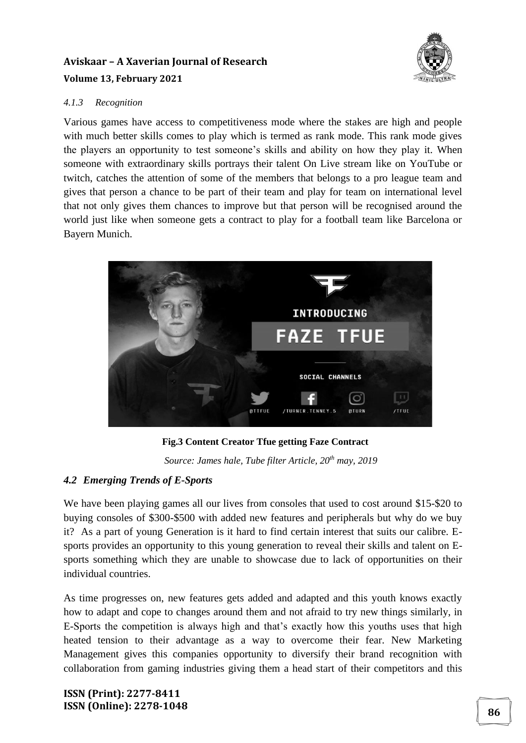### *4.1.3 Recognition*

Various games have access to competitiveness mode where the stakes are high and people with much better skills comes to play which is termed as rank mode. This rank mode gives the players an opportunity to test someone's skills and ability on how they play it. When someone with extraordinary skills portrays their talent On Live stream like on YouTube or twitch, catches the attention of some of the members that belongs to a pro league team and gives that person a chance to be part of their team and play for team on international level that not only gives them chances to improve but that person will be recognised around the world just like when someone gets a contract to play for a football team like Barcelona or Bayern Munich.



 **Fig.3 Content Creator Tfue getting Faze Contract**

*Source: James hale, Tube filter Article, 20th may, 2019*

## *4.2 Emerging Trends of E-Sports*

We have been playing games all our lives from consoles that used to cost around \$15-\$20 to buying consoles of \$300-\$500 with added new features and peripherals but why do we buy it? As a part of young Generation is it hard to find certain interest that suits our calibre. Esports provides an opportunity to this young generation to reveal their skills and talent on Esports something which they are unable to showcase due to lack of opportunities on their individual countries.

As time progresses on, new features gets added and adapted and this youth knows exactly how to adapt and cope to changes around them and not afraid to try new things similarly, in E-Sports the competition is always high and that's exactly how this youths uses that high heated tension to their advantage as a way to overcome their fear. New Marketing Management gives this companies opportunity to diversify their brand recognition with collaboration from gaming industries giving them a head start of their competitors and this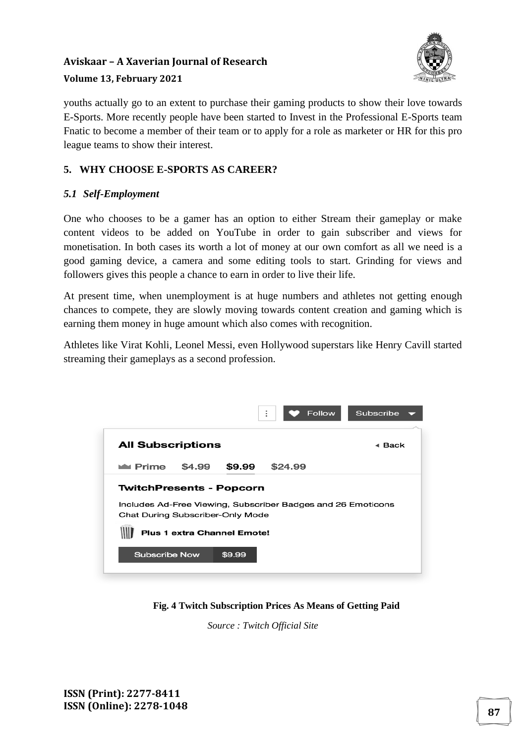## **Aviskaar – A Xaverian Journal of Research**



#### **Volume 13, February 2021**

youths actually go to an extent to purchase their gaming products to show their love towards E-Sports. More recently people have been started to Invest in the Professional E-Sports team Fnatic to become a member of their team or to apply for a role as marketer or HR for this pro league teams to show their interest.

## **5. WHY CHOOSE E-SPORTS AS CAREER?**

## *5.1 Self-Employment*

One who chooses to be a gamer has an option to either Stream their gameplay or make content videos to be added on YouTube in order to gain subscriber and views for monetisation. In both cases its worth a lot of money at our own comfort as all we need is a good gaming device, a camera and some editing tools to start. Grinding for views and followers gives this people a chance to earn in order to live their life.

At present time, when unemployment is at huge numbers and athletes not getting enough chances to compete, they are slowly moving towards content creation and gaming which is earning them money in huge amount which also comes with recognition.

Athletes like Virat Kohli, Leonel Messi, even Hollywood superstars like Henry Cavill started streaming their gameplays as a second profession.



**Fig. 4 Twitch Subscription Prices As Means of Getting Paid**

*Source : Twitch Official Site*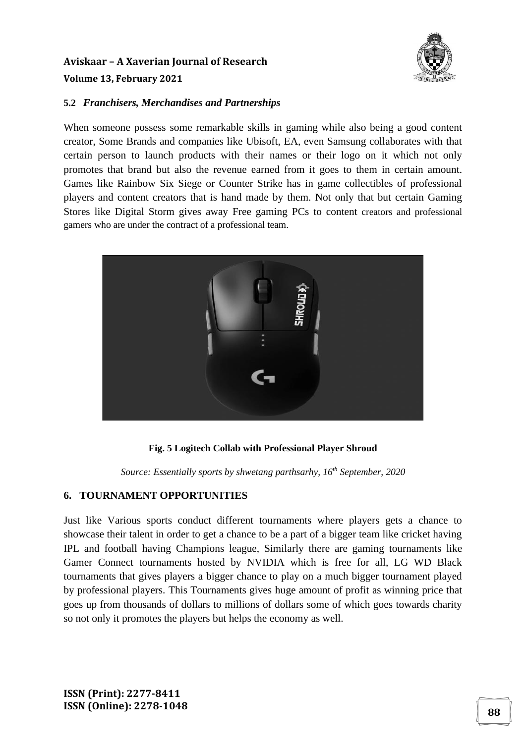

#### **5.2** *Franchisers, Merchandises and Partnerships*

When someone possess some remarkable skills in gaming while also being a good content creator, Some Brands and companies like Ubisoft, EA, even Samsung collaborates with that certain person to launch products with their names or their logo on it which not only promotes that brand but also the revenue earned from it goes to them in certain amount. Games like Rainbow Six Siege or Counter Strike has in game collectibles of professional players and content creators that is hand made by them. Not only that but certain Gaming Stores like Digital Storm gives away Free gaming PCs to content creators and professional gamers who are under the contract of a professional team.



**Fig. 5 Logitech Collab with Professional Player Shroud**

*Source: Essentially sports by shwetang parthsarhy, 16th September, 2020*

#### **6. TOURNAMENT OPPORTUNITIES**

Just like Various sports conduct different tournaments where players gets a chance to showcase their talent in order to get a chance to be a part of a bigger team like cricket having IPL and football having Champions league, Similarly there are gaming tournaments like Gamer Connect tournaments hosted by NVIDIA which is free for all, LG WD Black tournaments that gives players a bigger chance to play on a much bigger tournament played by professional players. This Tournaments gives huge amount of profit as winning price that goes up from thousands of dollars to millions of dollars some of which goes towards charity so not only it promotes the players but helps the economy as well.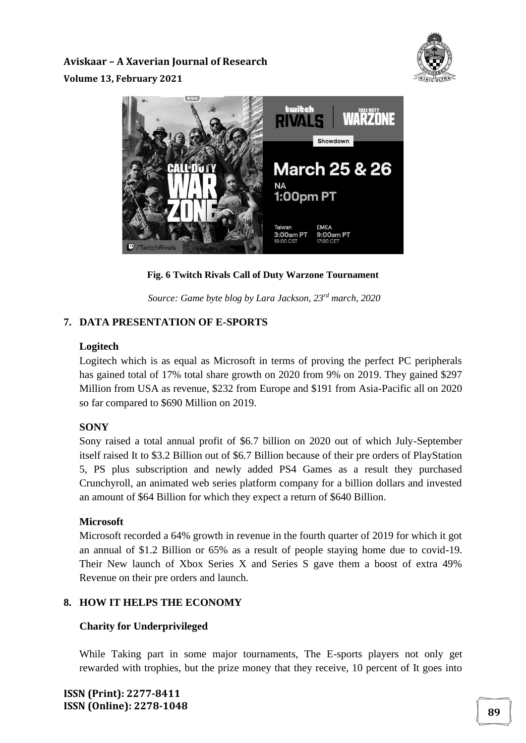



**Fig. 6 Twitch Rivals Call of Duty Warzone Tournament**

*Source: Game byte blog by Lara Jackson, 23rd march, 2020*

## **7. DATA PRESENTATION OF E-SPORTS**

## **Logitech**

Logitech which is as equal as Microsoft in terms of proving the perfect PC peripherals has gained total of 17% total share growth on 2020 from 9% on 2019. They gained \$297 Million from USA as revenue, \$232 from Europe and \$191 from Asia-Pacific all on 2020 so far compared to \$690 Million on 2019.

## **SONY**

Sony raised a total annual profit of \$6.7 billion on 2020 out of which July-September itself raised It to \$3.2 Billion out of \$6.7 Billion because of their pre orders of PlayStation 5, PS plus subscription and newly added PS4 Games as a result they purchased Crunchyroll, an animated web series platform company for a billion dollars and invested an amount of \$64 Billion for which they expect a return of \$640 Billion.

## **Microsoft**

Microsoft recorded a 64% growth in revenue in the fourth quarter of 2019 for which it got an annual of \$1.2 Billion or 65% as a result of people staying home due to covid-19. Their New launch of Xbox Series X and Series S gave them a boost of extra 49% Revenue on their pre orders and launch.

## **8. HOW IT HELPS THE ECONOMY**

## **Charity for Underprivileged**

While Taking part in some major tournaments, The E-sports players not only get rewarded with trophies, but the prize money that they receive, 10 percent of It goes into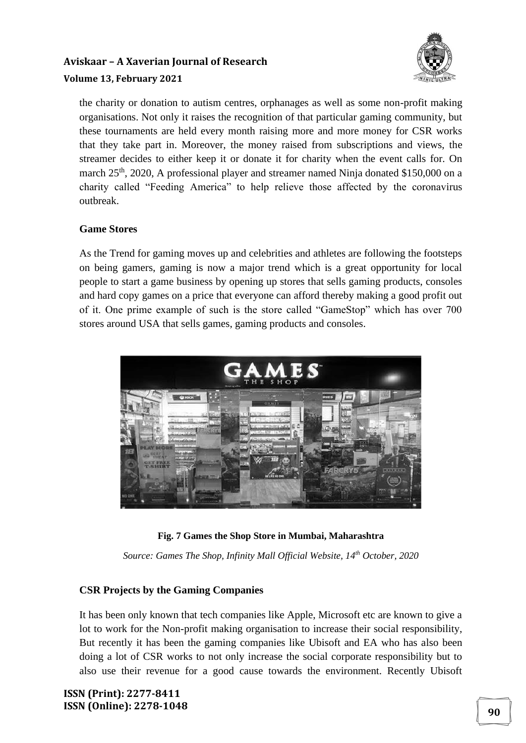

the charity or donation to autism centres, orphanages as well as some non-profit making organisations. Not only it raises the recognition of that particular gaming community, but these tournaments are held every month raising more and more money for CSR works that they take part in. Moreover, the money raised from subscriptions and views, the streamer decides to either keep it or donate it for charity when the event calls for. On march 25<sup>th</sup>, 2020, A professional player and streamer named Ninja donated \$150,000 on a charity called "Feeding America" to help relieve those affected by the coronavirus outbreak.

## **Game Stores**

As the Trend for gaming moves up and celebrities and athletes are following the footsteps on being gamers, gaming is now a major trend which is a great opportunity for local people to start a game business by opening up stores that sells gaming products, consoles and hard copy games on a price that everyone can afford thereby making a good profit out of it. One prime example of such is the store called "GameStop" which has over 700 stores around USA that sells games, gaming products and consoles.



#### **Fig. 7 Games the Shop Store in Mumbai, Maharashtra**

*Source: Games The Shop, Infinity Mall Official Website, 14th October, 2020*

#### **CSR Projects by the Gaming Companies**

It has been only known that tech companies like Apple, Microsoft etc are known to give a lot to work for the Non-profit making organisation to increase their social responsibility, But recently it has been the gaming companies like Ubisoft and EA who has also been doing a lot of CSR works to not only increase the social corporate responsibility but to also use their revenue for a good cause towards the environment. Recently Ubisoft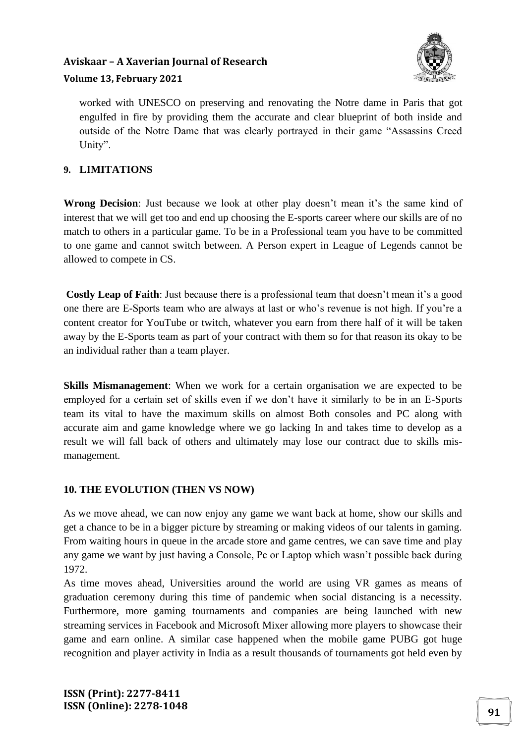## **Aviskaar – A Xaverian Journal of Research**



#### **Volume 13, February 2021**

worked with UNESCO on preserving and renovating the Notre dame in Paris that got engulfed in fire by providing them the accurate and clear blueprint of both inside and outside of the Notre Dame that was clearly portrayed in their game "Assassins Creed Unity".

## **9. LIMITATIONS**

**Wrong Decision**: Just because we look at other play doesn't mean it's the same kind of interest that we will get too and end up choosing the E-sports career where our skills are of no match to others in a particular game. To be in a Professional team you have to be committed to one game and cannot switch between. A Person expert in League of Legends cannot be allowed to compete in CS.

**Costly Leap of Faith**: Just because there is a professional team that doesn't mean it's a good one there are E-Sports team who are always at last or who's revenue is not high. If you're a content creator for YouTube or twitch, whatever you earn from there half of it will be taken away by the E-Sports team as part of your contract with them so for that reason its okay to be an individual rather than a team player.

**Skills Mismanagement**: When we work for a certain organisation we are expected to be employed for a certain set of skills even if we don't have it similarly to be in an E-Sports team its vital to have the maximum skills on almost Both consoles and PC along with accurate aim and game knowledge where we go lacking In and takes time to develop as a result we will fall back of others and ultimately may lose our contract due to skills mismanagement.

#### **10. THE EVOLUTION (THEN VS NOW)**

As we move ahead, we can now enjoy any game we want back at home, show our skills and get a chance to be in a bigger picture by streaming or making videos of our talents in gaming. From waiting hours in queue in the arcade store and game centres, we can save time and play any game we want by just having a Console, Pc or Laptop which wasn't possible back during 1972.

As time moves ahead, Universities around the world are using VR games as means of graduation ceremony during this time of pandemic when social distancing is a necessity. Furthermore, more gaming tournaments and companies are being launched with new streaming services in Facebook and Microsoft Mixer allowing more players to showcase their game and earn online. A similar case happened when the mobile game PUBG got huge recognition and player activity in India as a result thousands of tournaments got held even by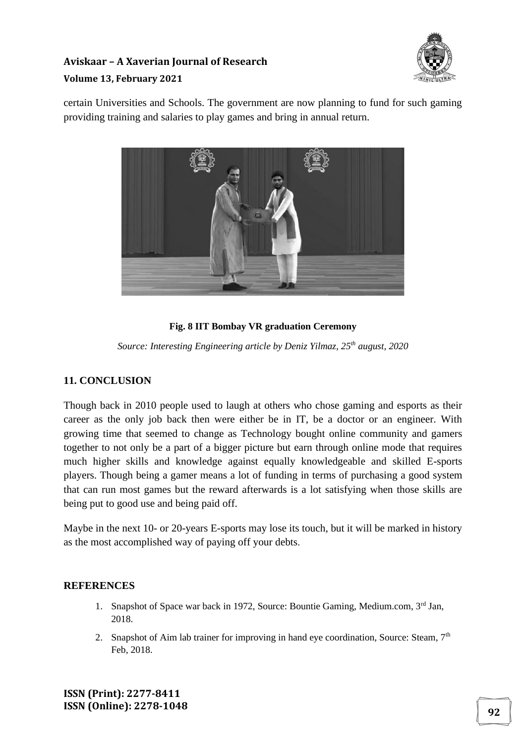

certain Universities and Schools. The government are now planning to fund for such gaming providing training and salaries to play games and bring in annual return.



## **Fig. 8 IIT Bombay VR graduation Ceremony**

*Source: Interesting Engineering article by Deniz Yilmaz, 25th august, 2020*

#### **11. CONCLUSION**

Though back in 2010 people used to laugh at others who chose gaming and esports as their career as the only job back then were either be in IT, be a doctor or an engineer. With growing time that seemed to change as Technology bought online community and gamers together to not only be a part of a bigger picture but earn through online mode that requires much higher skills and knowledge against equally knowledgeable and skilled E-sports players. Though being a gamer means a lot of funding in terms of purchasing a good system that can run most games but the reward afterwards is a lot satisfying when those skills are being put to good use and being paid off.

Maybe in the next 10- or 20-years E-sports may lose its touch, but it will be marked in history as the most accomplished way of paying off your debts.

## **REFERENCES**

- 1. Snapshot of Space war back in 1972, Source: Bountie Gaming, Medium.com, 3rd Jan, 2018.
- 2. Snapshot of Aim lab trainer for improving in hand eye coordination, Source: Steam,  $7<sup>th</sup>$ Feb, 2018.